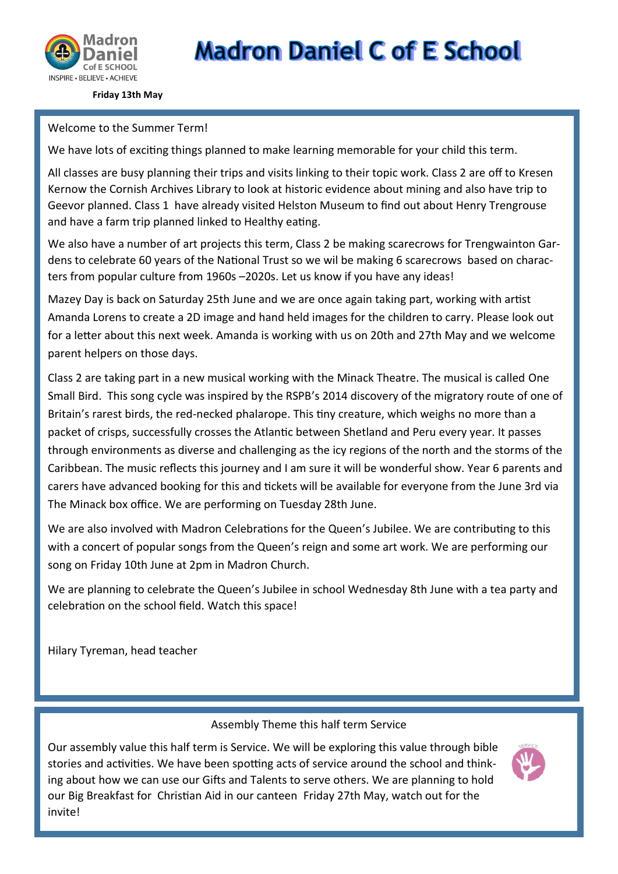

**Madron Daniel C of E School** 

**Friday 13th May**

### Welcome to the Summer Term!

We have lots of exciting things planned to make learning memorable for your child this term.

All classes are busy planning their trips and visits linking to their topic work. Class 2 are off to Kresen Kernow the Cornish Archives Library to look at historic evidence about mining and also have trip to Geevor planned. Class 1 have already visited Helston Museum to find out about Henry Trengrouse and have a farm trip planned linked to Healthy eating.

We also have a number of art projects this term, Class 2 be making scarecrows for Trengwainton Gardens to celebrate 60 years of the National Trust so we wil be making 6 scarecrows based on characters from popular culture from 1960s –2020s. Let us know if you have any ideas!

Mazey Day is back on Saturday 25th June and we are once again taking part, working with artist Amanda Lorens to create a 2D image and hand held images for the children to carry. Please look out for a letter about this next week. Amanda is working with us on 20th and 27th May and we welcome parent helpers on those days.

Class 2 are taking part in a new musical working with the Minack Theatre. The musical is called One Small Bird. This song cycle was inspired by the RSPB's 2014 discovery of the migratory route of one of Britain's rarest birds, the red-necked phalarope. This tiny creature, which weighs no more than a packet of crisps, successfully crosses the Atlantic between Shetland and Peru every year. It passes through environments as diverse and challenging as the icy regions of the north and the storms of the Caribbean. The music reflects this journey and I am sure it will be wonderful show. Year 6 parents and carers have advanced booking for this and tickets will be available for everyone from the June 3rd via The Minack box office. We are performing on Tuesday 28th June.

We are also involved with Madron Celebrations for the Queen's Jubilee. We are contributing to this with a concert of popular songs from the Queen's reign and some art work. We are performing our song on Friday 10th June at 2pm in Madron Church.

We are planning to celebrate the Queen's Jubilee in school Wednesday 8th June with a tea party and celebration on the school field. Watch this space!

Hilary Tyreman, head teacher

Assembly Theme this half term Service

Our assembly value this half term is Service. We will be exploring this value through bible stories and activities. We have been spotting acts of service around the school and thinking about how we can use our Gifts and Talents to serve others. We are planning to hold our Big Breakfast for Christian Aid in our canteen Friday 27th May, watch out for the invite!